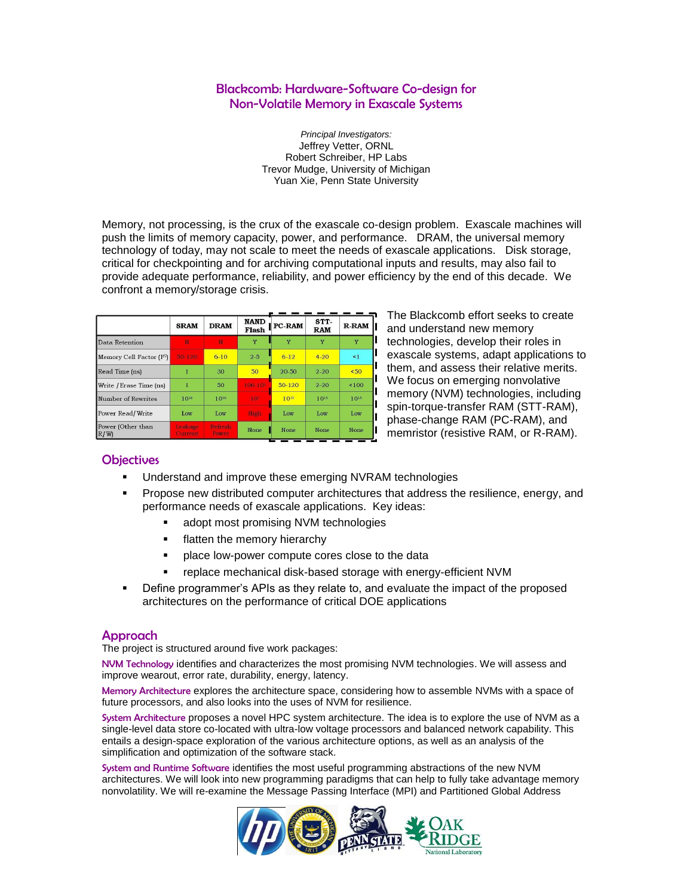# Blackcomb: Hardware-Software Co-design for Non-Volatile Memory in Exascale Systems

*Principal Investigators:* Jeffrey Vetter, ORNL Robert Schreiber, HP Labs Trevor Mudge, University of Michigan Yuan Xie, Penn State University

Memory, not processing, is the crux of the exascale co-design problem. Exascale machines will push the limits of memory capacity, power, and performance. DRAM, the universal memory technology of today, may not scale to meet the needs of exascale applications. Disk storage, critical for checkpointing and for archiving computational inputs and results, may also fail to provide adequate performance, reliability, and power efficiency by the end of this decade. We confront a memory/storage crisis.

|                            | <b>SRAM</b>        | <b>DRAM</b>             | <b>NAND</b><br>Flash | PC-RAM   | STT-<br><b>RAM</b> | <b>R-RAM</b>     |  |
|----------------------------|--------------------|-------------------------|----------------------|----------|--------------------|------------------|--|
| Data Retention             | N                  | N                       | Y                    |          | Y                  | Y                |  |
| Memory Cell Factor $(F^2)$ | 50-120             | $6 - 10$                | $2 - 5$              | $6 - 12$ | $4 - 20$           | $\leq 1$         |  |
| Read Time (ns)             |                    | 30                      | 50                   | 20-50    | $2 - 20$           | 50 <sub>50</sub> |  |
| Write / Erase Time (ns)    | 1                  | 50                      | $106 - 10^6$         | $50-120$ | $2 - 20$           | ${}_{5100}$      |  |
| Number of Rewrites         | 1016               | 1016                    | 10%                  | 1010     | $10^{15}$          | 1015             |  |
| Power Read/Write           | Low                | Low                     | High                 | Low      | Low                | Low              |  |
| Power (Other than<br>R/W   | Leakage<br>Current | <b>Refresh</b><br>Power | None                 | None     | None               | None             |  |

The Blackcomb effort seeks to create and understand new memory technologies, develop their roles in exascale systems, adapt applications to them, and assess their relative merits. We focus on emerging nonvolative memory (NVM) technologies, including spin-torque-transfer RAM (STT-RAM), phase-change RAM (PC-RAM), and memristor (resistive RAM, or R-RAM).

## **Objectives**

- Understand and improve these emerging NVRAM technologies
- Propose new distributed computer architectures that address the resilience, energy, and performance needs of exascale applications. Key ideas:
	- adopt most promising NVM technologies
	- **Filatten the memory hierarchy**
	- **Palace low-power compute cores close to the data**
	- replace mechanical disk-based storage with energy-efficient NVM
- Define programmer's APIs as they relate to, and evaluate the impact of the proposed architectures on the performance of critical DOE applications

#### Approach

The project is structured around five work packages:

NVM Technology identifies and characterizes the most promising NVM technologies. We will assess and improve wearout, error rate, durability, energy, latency.

Memory Architecture explores the architecture space, considering how to assemble NVMs with a space of future processors, and also looks into the uses of NVM for resilience.

System Architecture proposes a novel HPC system architecture. The idea is to explore the use of NVM as a single-level data store co-located with ultra-low voltage processors and balanced network capability. This entails a design-space exploration of the various architecture options, as well as an analysis of the simplification and optimization of the software stack.

System and Runtime Software identifies the most useful programming abstractions of the new NVM architectures. We will look into new programming paradigms that can help to fully take advantage memory nonvolatility. We will re-examine the Message Passing Interface (MPI) and Partitioned Global Address